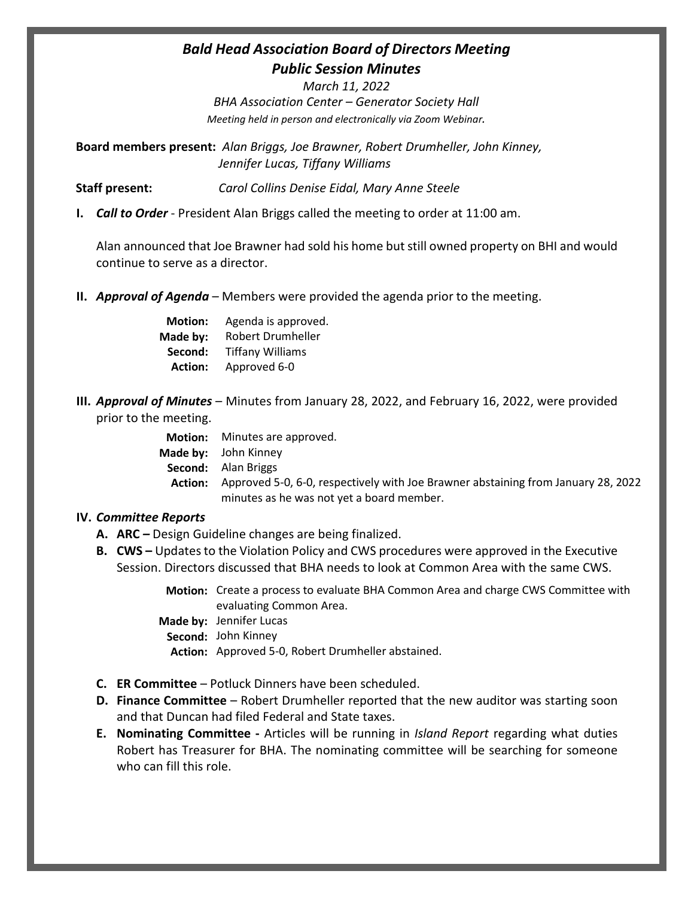# *Bald Head Association Board of Directors Meeting Public Session Minutes*

*March 11, 2022 BHA Association Center – Generator Society Hall Meeting held in person and electronically via Zoom Webinar.*

**Board members present:** *Alan Briggs, Joe Brawner, Robert Drumheller, John Kinney, Jennifer Lucas, Tiffany Williams*

**Staff present:** *Carol Collins Denise Eidal, Mary Anne Steele*

**I.** *Call to Order* - President Alan Briggs called the meeting to order at 11:00 am.

Alan announced that Joe Brawner had sold his home but still owned property on BHI and would continue to serve as a director.

**II.** *Approval of Agenda* – Members were provided the agenda prior to the meeting.

| <b>Motion:</b> | Agenda is approved.     |
|----------------|-------------------------|
| Made by:       | Robert Drumheller       |
| Second:        | <b>Tiffany Williams</b> |
| <b>Action:</b> | Approved 6-0            |

**III.** *Approval of Minutes* – Minutes from January 28, 2022, and February 16, 2022, were provided prior to the meeting.

|         | <b>Motion:</b> Minutes are approved.                                              |
|---------|-----------------------------------------------------------------------------------|
|         | Made by: John Kinney                                                              |
|         | <b>Second:</b> Alan Briggs                                                        |
| Action: | Approved 5-0, 6-0, respectively with Joe Brawner abstaining from January 28, 2022 |
|         | minutes as he was not yet a board member.                                         |

### **IV.** *Committee Reports*

- **A. ARC** *–* Design Guideline changes are being finalized.
- **B. CWS –** Updates to the Violation Policy and CWS procedures were approved in the Executive Session. Directors discussed that BHA needs to look at Common Area with the same CWS.
	- **Motion:** Create a process to evaluate BHA Common Area and charge CWS Committee with evaluating Common Area.
	- **Made by:** Jennifer Lucas
		- **Second:**  John Kinney

Action: Approved 5-0, Robert Drumheller abstained.

- **C. ER Committee** Potluck Dinners have been scheduled.
- **D. Finance Committee**  Robert Drumheller reported that the new auditor was starting soon and that Duncan had filed Federal and State taxes.
- **E. Nominating Committee -** Articles will be running in *Island Report* regarding what duties Robert has Treasurer for BHA. The nominating committee will be searching for someone who can fill this role.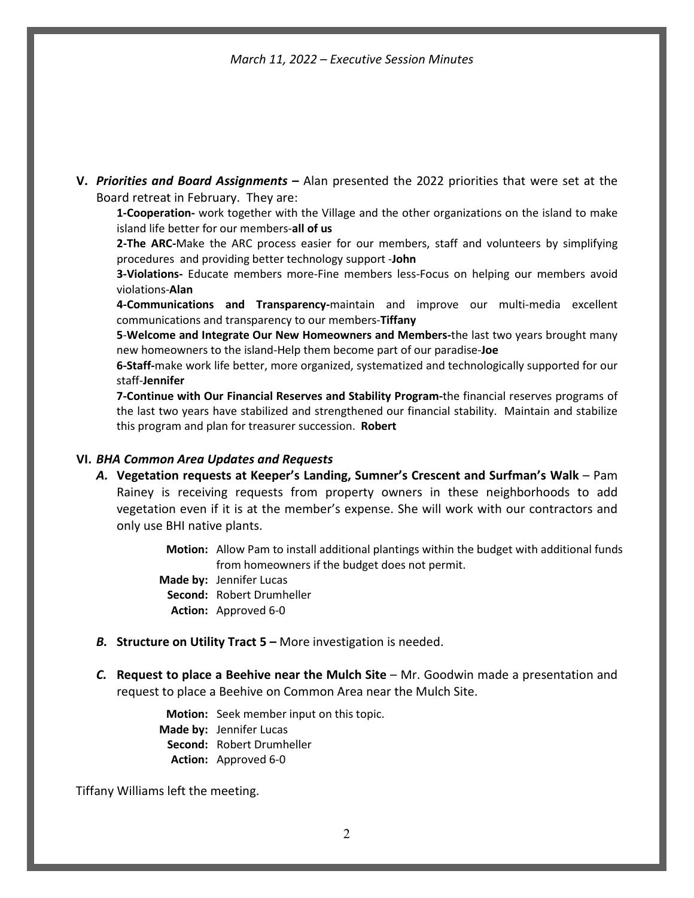*March 11, 2022 – Executive Session Minutes*

**V.** *Priorities and Board Assignments –* Alan presented the 2022 priorities that were set at the Board retreat in February. They are:

**1-Cooperation-** work together with the Village and the other organizations on the island to make island life better for our members-**all of us**

**2-The ARC-**Make the ARC process easier for our members, staff and volunteers by simplifying procedures and providing better technology support -**John**

**3-Violations-** Educate members more-Fine members less-Focus on helping our members avoid violations-**Alan**

**4-Communications and Transparency-**maintain and improve our multi-media excellent communications and transparency to our members-**Tiffany**

**5**-**Welcome and Integrate Our New Homeowners and Members-**the last two years brought many new homeowners to the island-Help them become part of our paradise-**Joe**

**6-Staff-**make work life better, more organized, systematized and technologically supported for our staff-**Jennifer**

**7-Continue with Our Financial Reserves and Stability Program-**the financial reserves programs of the last two years have stabilized and strengthened our financial stability. Maintain and stabilize this program and plan for treasurer succession. **Robert**

#### **VI.** *BHA Common Area Updates and Requests*

*A.* **Vegetation requests at Keeper's Landing, Sumner's Crescent and Surfman's Walk** – Pam Rainey is receiving requests from property owners in these neighborhoods to add vegetation even if it is at the member's expense. She will work with our contractors and only use BHI native plants.

> Motion: Allow Pam to install additional plantings within the budget with additional funds from homeowners if the budget does not permit.

- Made by: Jennifer Lucas Second: Robert Drumheller
	- Action: Approved 6-0
- *B.* **Structure on Utility Tract 5** *–* More investigation is needed.
- *C.* **Request to place a Beehive near the Mulch Site** Mr. Goodwin made a presentation and request to place a Beehive on Common Area near the Mulch Site.

**Motion:** Seek member input on this topic. **Made by:** Jennifer Lucas **Second:**  Robert Drumheller **Action:** Approved 6-0

Tiffany Williams left the meeting.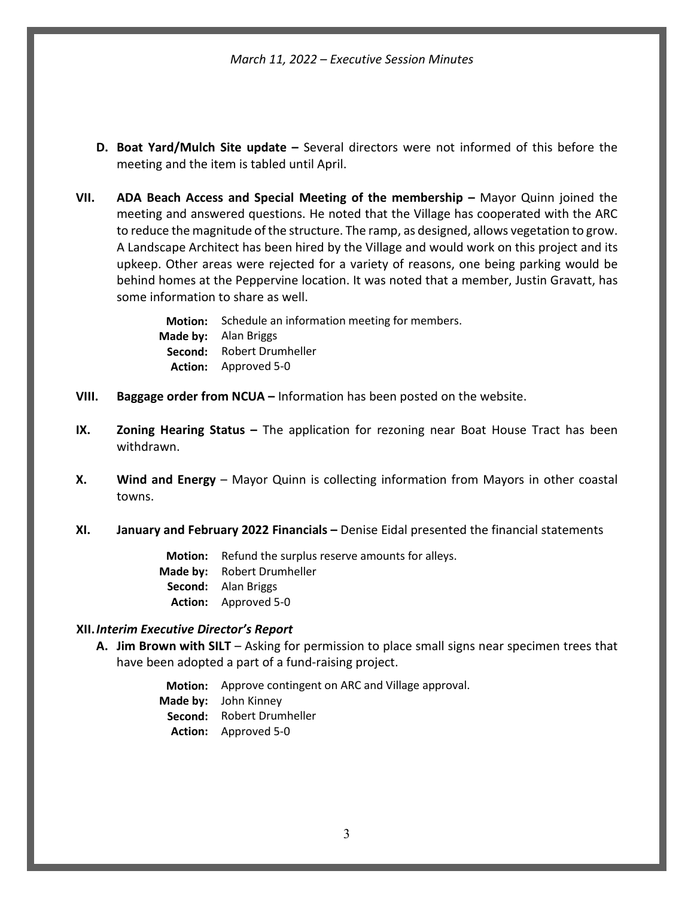*March 11, 2022 – Executive Session Minutes*

- **D. Boat Yard/Mulch Site update –** Several directors were not informed of this before the meeting and the item is tabled until April.
- **VII. ADA Beach Access and Special Meeting of the membership –** Mayor Quinn joined the meeting and answered questions. He noted that the Village has cooperated with the ARC to reduce the magnitude of the structure. The ramp, as designed, allows vegetation to grow. A Landscape Architect has been hired by the Village and would work on this project and its upkeep. Other areas were rejected for a variety of reasons, one being parking would be behind homes at the Peppervine location. It was noted that a member, Justin Gravatt, has some information to share as well.

Motion: Schedule an information meeting for members. Made by: Alan Briggs Second: Robert Drumheller Action: Approved 5-0

- **VIII. Baggage order from NCUA –** Information has been posted on the website.
- **IX. Zoning Hearing Status** The application for rezoning near Boat House Tract has been withdrawn.
- **X. Wind and Energy** Mayor Quinn is collecting information from Mayors in other coastal towns.
- **XI. January and February 2022 Financials –** Denise Eidal presented the financial statements

**Motion:** Refund the surplus reserve amounts for alleys. **Made by:** Robert Drumheller **Second:**  Alan Briggs **Action:** Approved 5-0

## **XII.***Interim Executive Director's Report*

**A. Jim Brown with SILT** – Asking for permission to place small signs near specimen trees that have been adopted a part of a fund-raising project.

> **Motion:** Approve contingent on ARC and Village approval. **Made by:** John Kinney **Second:**  Robert Drumheller **Action:** Approved 5-0